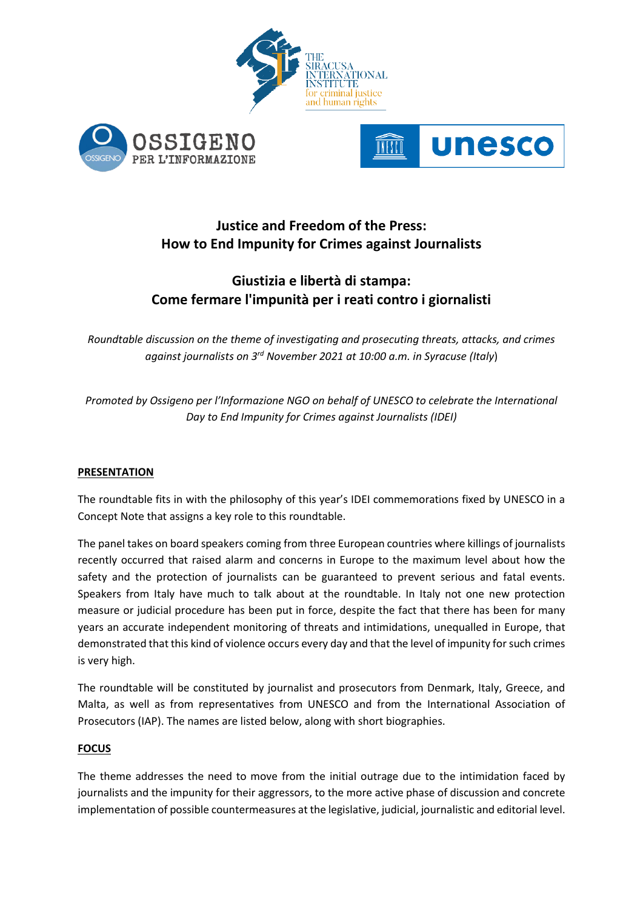





# **Justice and Freedom of the Press: How to End Impunity for Crimes against Journalists**

# **Giustizia e libertà di stampa: Come fermare l'impunità per i reati contro i giornalisti**

*Roundtable discussion on the theme of investigating and prosecuting threats, attacks, and crimes against journalists on 3 rd November 2021 at 10:00 a.m. in Syracuse (Italy*)

*Promoted by Ossigeno per l'Informazione NGO on behalf of UNESCO to celebrate the International Day to End Impunity for Crimes against Journalists (IDEI)*

## **PRESENTATION**

The roundtable fits in with the philosophy of this year's IDEI commemorations fixed by UNESCO in a Concept Note that assigns a key role to this roundtable.

The panel takes on board speakers coming from three European countries where killings of journalists recently occurred that raised alarm and concerns in Europe to the maximum level about how the safety and the protection of journalists can be guaranteed to prevent serious and fatal events. Speakers from Italy have much to talk about at the roundtable. In Italy not one new protection measure or judicial procedure has been put in force, despite the fact that there has been for many years an accurate independent monitoring of threats and intimidations, unequalled in Europe, that demonstrated that this kind of violence occurs every day and that the level of impunity for such crimes is very high.

The roundtable will be constituted by journalist and prosecutors from Denmark, Italy, Greece, and Malta, as well as from representatives from UNESCO and from the International Association of Prosecutors (IAP). The names are listed below, along with short biographies.

## **FOCUS**

The theme addresses the need to move from the initial outrage due to the intimidation faced by journalists and the impunity for their aggressors, to the more active phase of discussion and concrete implementation of possible countermeasures at the legislative, judicial, journalistic and editorial level.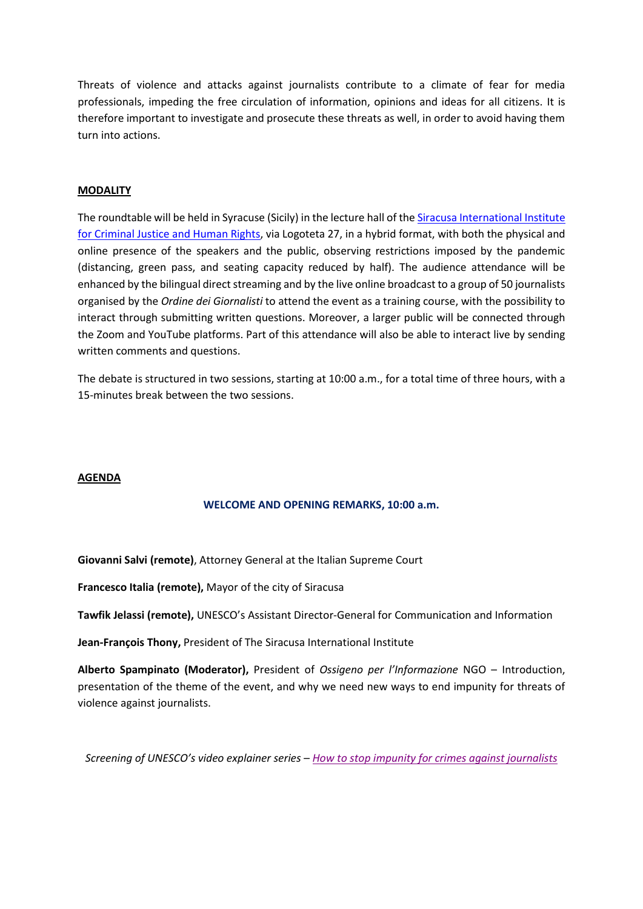Threats of violence and attacks against journalists contribute to a climate of fear for media professionals, impeding the free circulation of information, opinions and ideas for all citizens. It is therefore important to investigate and prosecute these threats as well, in order to avoid having them turn into actions.

#### **MODALITY**

The roundtable will be held in Syracuse (Sicily) in the lecture hall of the Siracusa International Institute [for Criminal Justice and Human Rights,](https://www.siracusainstitute.org/app/) via Logoteta 27, in a hybrid format, with both the physical and online presence of the speakers and the public, observing restrictions imposed by the pandemic (distancing, green pass, and seating capacity reduced by half). The audience attendance will be enhanced by the bilingual direct streaming and by the live online broadcast to a group of 50 journalists organised by the *Ordine dei Giornalisti* to attend the event as a training course, with the possibility to interact through submitting written questions. Moreover, a larger public will be connected through the Zoom and YouTube platforms. Part of this attendance will also be able to interact live by sending written comments and questions.

The debate is structured in two sessions, starting at 10:00 a.m., for a total time of three hours, with a 15-minutes break between the two sessions.

#### **AGENDA**

#### **WELCOME AND OPENING REMARKS, 10:00 a.m.**

**Giovanni Salvi (remote)**, Attorney General at the Italian Supreme Court

**Francesco Italia (remote),** Mayor of the city of Siracusa

**Tawfik Jelassi (remote),** UNESCO's Assistant Director-General for Communication and Information

**Jean-François Thony,** President of The Siracusa International Institute

**Alberto Spampinato (Moderator),** President of *Ossigeno per l'Informazione* NGO – Introduction, presentation of the theme of the event, and why we need new ways to end impunity for threats of violence against journalists.

*Screening of UNESCO's video explainer series – [How to stop impunity for crimes against journalists](https://www.youtube.com/watch?v=VuQTq2Ej6q8&list=PLWuYED1WVJIP6AR2z48lKHDZb3Pnt9RtI&index=7)*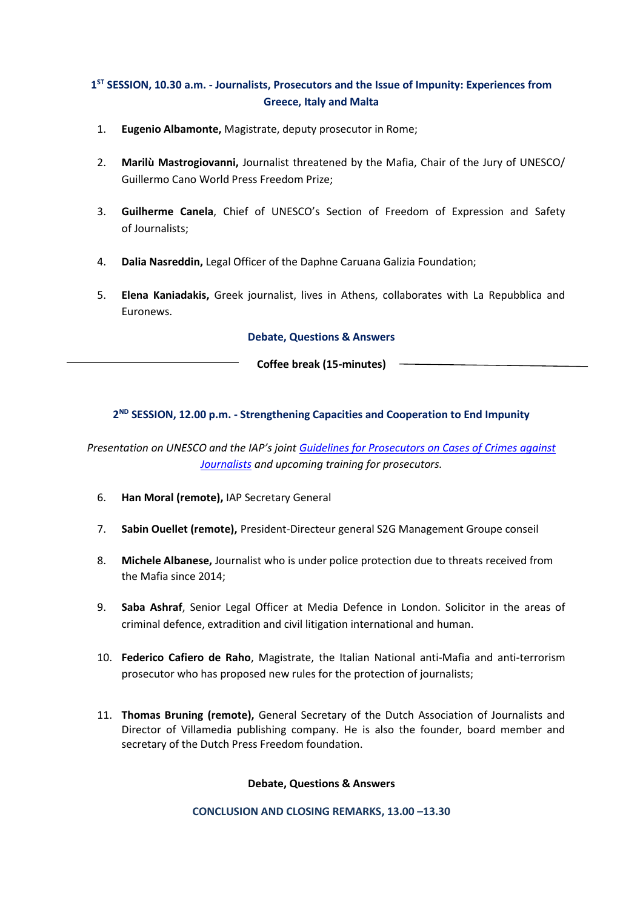# **1 ST SESSION, 10.30 a.m. - Journalists, Prosecutors and the Issue of Impunity: Experiences from Greece, Italy and Malta**

- 1. **Eugenio Albamonte,** Magistrate, deputy prosecutor in Rome;
- 2. **Marilù Mastrogiovanni,** Journalist threatened by the Mafia, Chair of the Jury of UNESCO/ Guillermo Cano World Press Freedom Prize;
- 3. **Guilherme Canela**, Chief of UNESCO's Section of Freedom of Expression and Safety of Journalists;
- 4. **Dalia Nasreddin,** Legal Officer of the Daphne Caruana Galizia Foundation;
- 5. **Elena Kaniadakis,** Greek journalist, lives in Athens, collaborates with La Repubblica and Euronews.

**Debate, Questions & Answers**

**Coffee break (15-minutes)**

## **2 ND SESSION, 12.00 p.m. - Strengthening Capacities and Cooperation to End Impunity**

*Presentation on UNESCO and the IAP's joint [Guidelines for Prosecutors on Cases of Crimes against](https://unesdoc.unesco.org/ark:/48223/pf0000375138)  [Journalists](https://unesdoc.unesco.org/ark:/48223/pf0000375138) and upcoming training for prosecutors.*

- 6. **Han Moral (remote),** IAP Secretary General
- 7. **Sabin Ouellet (remote),** President-Directeur general S2G Management Groupe conseil
- 8. **Michele Albanese,** Journalist who is under police protection due to threats received from the Mafia since 2014;
- 9. **Saba Ashraf**, Senior Legal Officer at Media Defence in London. Solicitor in the areas of criminal defence, extradition and civil litigation international and human.
- 10. **Federico Cafiero de Raho**, Magistrate, the Italian National anti-Mafia and anti-terrorism prosecutor who has proposed new rules for the protection of journalists;
- 11. **Thomas Bruning (remote),** General Secretary of the Dutch Association of Journalists and Director of Villamedia publishing company. He is also the founder, board member and secretary of the Dutch Press Freedom foundation.

**Debate, Questions & Answers**

**CONCLUSION AND CLOSING REMARKS, 13.00 –13.30**